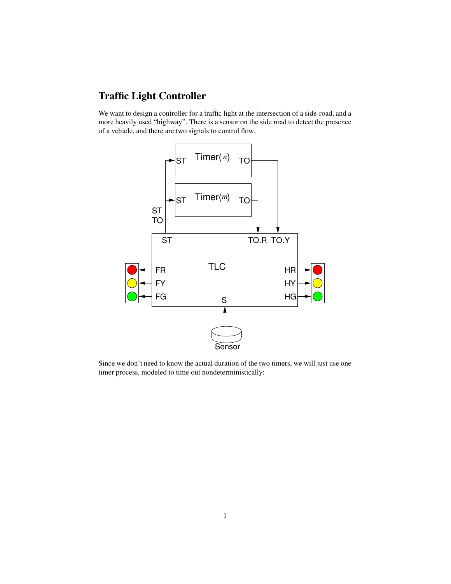## **Traffic Light Controller**

We want to design a controller for a traffic light at the intersection of a side-road, and a more heavily used "highway". There is a sensor on the side road to detect the presence of a vehicle, and there are two signals to control flow.



Since we don't need to know the actual duration of the two timers, we will just use one timer process, modeled to time out nondeterministically: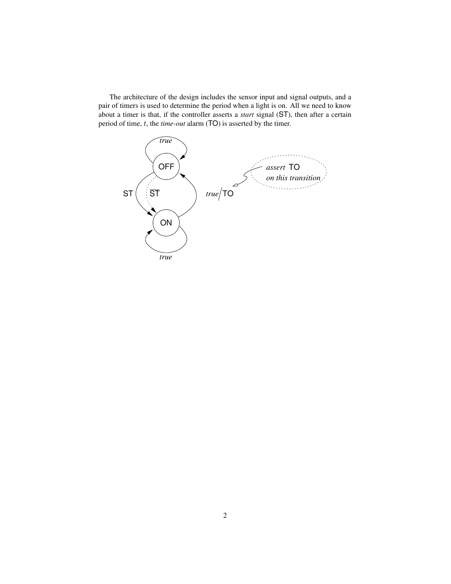The architecture of the design includes the sensor input and signal outputs, and a pair of timers is used to determine the period when a light is on. All we need to know about a timer is that, if the controller asserts a *start* signal (ST), then after a certain period of time, t, the *time-out* alarm (TO) is asserted by the timer.

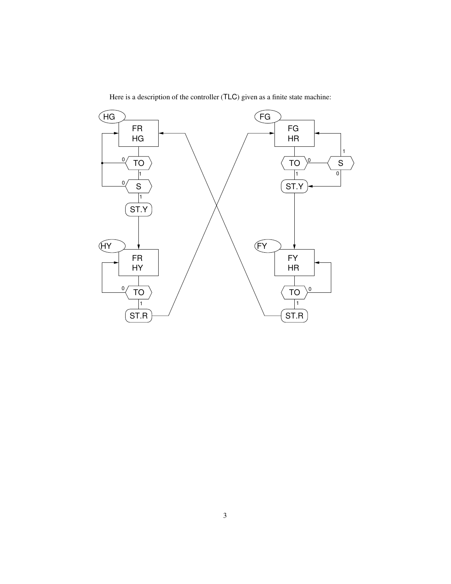

Here is a description of the controller (TLC) given as a finite state machine: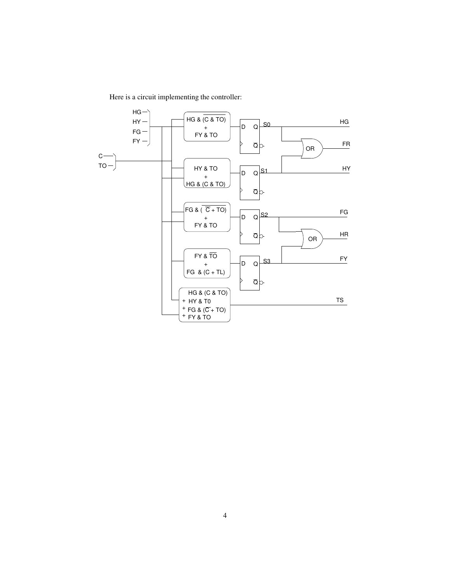Here is a circuit implementing the controller: